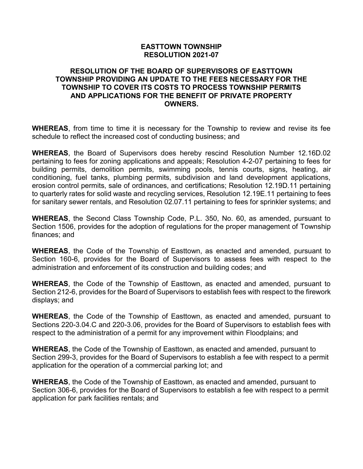### **EASTTOWN TOWNSHIP RESOLUTION 2021-07**

#### **RESOLUTION OF THE BOARD OF SUPERVISORS OF EASTTOWN TOWNSHIP PROVIDING AN UPDATE TO THE FEES NECESSARY FOR THE TOWNSHIP TO COVER ITS COSTS TO PROCESS TOWNSHIP PERMITS AND APPLICATIONS FOR THE BENEFIT OF PRIVATE PROPERTY OWNERS.**

**WHEREAS**, from time to time it is necessary for the Township to review and revise its fee schedule to reflect the increased cost of conducting business; and

**WHEREAS**, the Board of Supervisors does hereby rescind Resolution Number 12.16D.02 pertaining to fees for zoning applications and appeals; Resolution 4-2-07 pertaining to fees for building permits, demolition permits, swimming pools, tennis courts, signs, heating, air conditioning, fuel tanks, plumbing permits, subdivision and land development applications, erosion control permits, sale of ordinances, and certifications; Resolution 12.19D.11 pertaining to quarterly rates for solid waste and recycling services, Resolution 12.19E.11 pertaining to fees for sanitary sewer rentals, and Resolution 02.07.11 pertaining to fees for sprinkler systems; and

**WHEREAS**, the Second Class Township Code, P.L. 350, No. 60, as amended, pursuant to Section 1506, provides for the adoption of regulations for the proper management of Township finances; and

**WHEREAS**, the Code of the Township of Easttown, as enacted and amended, pursuant to Section 160-6, provides for the Board of Supervisors to assess fees with respect to the administration and enforcement of its construction and building codes; and

**WHEREAS**, the Code of the Township of Easttown, as enacted and amended, pursuant to Section 212-6, provides for the Board of Supervisors to establish fees with respect to the firework displays; and

**WHEREAS**, the Code of the Township of Easttown, as enacted and amended, pursuant to Sections 220-3.04.C and 220-3.06, provides for the Board of Supervisors to establish fees with respect to the administration of a permit for any improvement within Floodplains; and

**WHEREAS**, the Code of the Township of Easttown, as enacted and amended, pursuant to Section 299-3, provides for the Board of Supervisors to establish a fee with respect to a permit application for the operation of a commercial parking lot; and

**WHEREAS**, the Code of the Township of Easttown, as enacted and amended, pursuant to Section 306-6, provides for the Board of Supervisors to establish a fee with respect to a permit application for park facilities rentals; and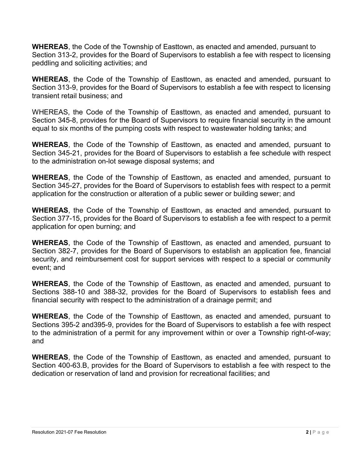**WHEREAS**, the Code of the Township of Easttown, as enacted and amended, pursuant to Section 313-2, provides for the Board of Supervisors to establish a fee with respect to licensing peddling and soliciting activities; and

**WHEREAS**, the Code of the Township of Easttown, as enacted and amended, pursuant to Section 313-9, provides for the Board of Supervisors to establish a fee with respect to licensing transient retail business; and

WHEREAS, the Code of the Township of Easttown, as enacted and amended, pursuant to Section 345-8, provides for the Board of Supervisors to require financial security in the amount equal to six months of the pumping costs with respect to wastewater holding tanks; and

**WHEREAS**, the Code of the Township of Easttown, as enacted and amended, pursuant to Section 345-21, provides for the Board of Supervisors to establish a fee schedule with respect to the administration on-lot sewage disposal systems; and

**WHEREAS**, the Code of the Township of Easttown, as enacted and amended, pursuant to Section 345-27, provides for the Board of Supervisors to establish fees with respect to a permit application for the construction or alteration of a public sewer or building sewer; and

**WHEREAS**, the Code of the Township of Easttown, as enacted and amended, pursuant to Section 377-15, provides for the Board of Supervisors to establish a fee with respect to a permit application for open burning; and

**WHEREAS**, the Code of the Township of Easttown, as enacted and amended, pursuant to Section 382-7, provides for the Board of Supervisors to establish an application fee, financial security, and reimbursement cost for support services with respect to a special or community event; and

**WHEREAS**, the Code of the Township of Easttown, as enacted and amended, pursuant to Sections 388-10 and 388-32, provides for the Board of Supervisors to establish fees and financial security with respect to the administration of a drainage permit; and

**WHEREAS**, the Code of the Township of Easttown, as enacted and amended, pursuant to Sections 395-2 and395-9, provides for the Board of Supervisors to establish a fee with respect to the administration of a permit for any improvement within or over a Township right-of-way; and

**WHEREAS**, the Code of the Township of Easttown, as enacted and amended, pursuant to Section 400-63.B, provides for the Board of Supervisors to establish a fee with respect to the dedication or reservation of land and provision for recreational facilities; and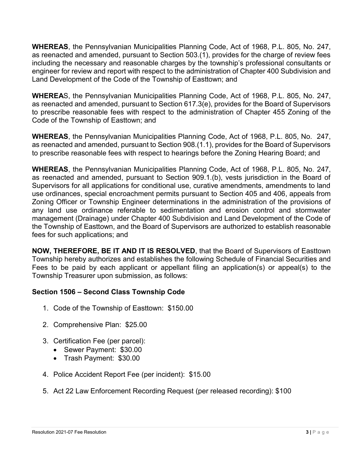**WHEREAS**, the Pennsylvanian Municipalities Planning Code, Act of 1968, P.L. 805, No. 247, as reenacted and amended, pursuant to Section 503.(1), provides for the charge of review fees including the necessary and reasonable charges by the township's professional consultants or engineer for review and report with respect to the administration of Chapter 400 Subdivision and Land Development of the Code of the Township of Easttown; and

**WHEREA**S, the Pennsylvanian Municipalities Planning Code, Act of 1968, P.L. 805, No. 247, as reenacted and amended, pursuant to Section 617.3(e), provides for the Board of Supervisors to prescribe reasonable fees with respect to the administration of Chapter 455 Zoning of the Code of the Township of Easttown; and

**WHEREAS**, the Pennsylvanian Municipalities Planning Code, Act of 1968, P.L. 805, No. 247, as reenacted and amended, pursuant to Section 908.(1.1), provides for the Board of Supervisors to prescribe reasonable fees with respect to hearings before the Zoning Hearing Board; and

**WHEREAS**, the Pennsylvanian Municipalities Planning Code, Act of 1968, P.L. 805, No. 247, as reenacted and amended, pursuant to Section 909.1.(b), vests jurisdiction in the Board of Supervisors for all applications for conditional use, curative amendments, amendments to land use ordinances, special encroachment permits pursuant to Section 405 and 406, appeals from Zoning Officer or Township Engineer determinations in the administration of the provisions of any land use ordinance referable to sedimentation and erosion control and stormwater management (Drainage) under Chapter 400 Subdivision and Land Development of the Code of the Township of Easttown, and the Board of Supervisors are authorized to establish reasonable fees for such applications; and

**NOW, THEREFORE, BE IT AND IT IS RESOLVED**, that the Board of Supervisors of Easttown Township hereby authorizes and establishes the following Schedule of Financial Securities and Fees to be paid by each applicant or appellant filing an application(s) or appeal(s) to the Township Treasurer upon submission, as follows:

# **Section 1506 – Second Class Township Code**

- 1. Code of the Township of Easttown: \$150.00
- 2. Comprehensive Plan: \$25.00
- 3. Certification Fee (per parcel):
	- Sewer Payment: \$30.00
	- Trash Payment: \$30.00
- 4. Police Accident Report Fee (per incident): \$15.00
- 5. Act 22 Law Enforcement Recording Request (per released recording): \$100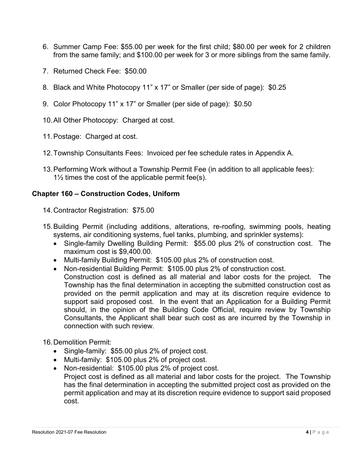- 6. Summer Camp Fee: \$55.00 per week for the first child; \$80.00 per week for 2 children from the same family; and \$100.00 per week for 3 or more siblings from the same family.
- 7. Returned Check Fee: \$50.00
- 8. Black and White Photocopy 11" x 17" or Smaller (per side of page): \$0.25
- 9. Color Photocopy 11" x 17" or Smaller (per side of page): \$0.50
- 10.All Other Photocopy: Charged at cost.
- 11.Postage: Charged at cost.
- 12.Township Consultants Fees: Invoiced per fee schedule rates in Appendix A.
- 13.Performing Work without a Township Permit Fee (in addition to all applicable fees):  $1\frac{1}{2}$  times the cost of the applicable permit fee(s).

## **Chapter 160 – Construction Codes, Uniform**

- 14.Contractor Registration: \$75.00
- 15.Building Permit (including additions, alterations, re-roofing, swimming pools, heating systems, air conditioning systems, fuel tanks, plumbing, and sprinkler systems):
	- Single-family Dwelling Building Permit: \$55.00 plus 2% of construction cost. The maximum cost is \$9,400.00.
	- Multi-family Building Permit: \$105.00 plus 2% of construction cost.
	- Non-residential Building Permit: \$105.00 plus 2% of construction cost. Construction cost is defined as all material and labor costs for the project. The Township has the final determination in accepting the submitted construction cost as provided on the permit application and may at its discretion require evidence to support said proposed cost. In the event that an Application for a Building Permit
		- should, in the opinion of the Building Code Official, require review by Township Consultants, the Applicant shall bear such cost as are incurred by the Township in connection with such review.
- 16.Demolition Permit:
	- Single-family: \$55.00 plus 2% of project cost.
	- Multi-family: \$105.00 plus 2% of project cost.
	- Non-residential: \$105.00 plus 2% of project cost. Project cost is defined as all material and labor costs for the project. The Township has the final determination in accepting the submitted project cost as provided on the permit application and may at its discretion require evidence to support said proposed cost.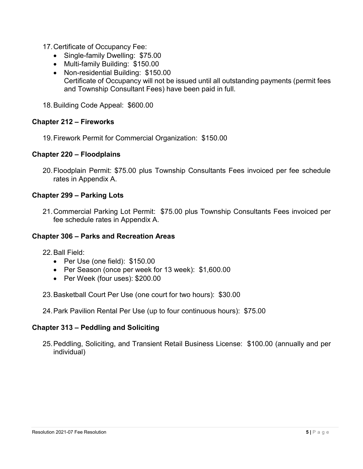- 17.Certificate of Occupancy Fee:
	- Single-family Dwelling: \$75.00
	- Multi-family Building: \$150.00
	- Non-residential Building: \$150.00 Certificate of Occupancy will not be issued until all outstanding payments (permit fees and Township Consultant Fees) have been paid in full.
- 18.Building Code Appeal: \$600.00

### **Chapter 212 – Fireworks**

19.Firework Permit for Commercial Organization: \$150.00

## **Chapter 220 – Floodplains**

20.Floodplain Permit: \$75.00 plus Township Consultants Fees invoiced per fee schedule rates in Appendix A.

## **Chapter 299 – Parking Lots**

21.Commercial Parking Lot Permit: \$75.00 plus Township Consultants Fees invoiced per fee schedule rates in Appendix A.

### **Chapter 306 – Parks and Recreation Areas**

22.Ball Field:

- Per Use (one field): \$150.00
- Per Season (once per week for 13 week): \$1,600.00
- Per Week (four uses): \$200.00
- 23.Basketball Court Per Use (one court for two hours): \$30.00
- 24.Park Pavilion Rental Per Use (up to four continuous hours): \$75.00

### **Chapter 313 – Peddling and Soliciting**

25.Peddling, Soliciting, and Transient Retail Business License: \$100.00 (annually and per individual)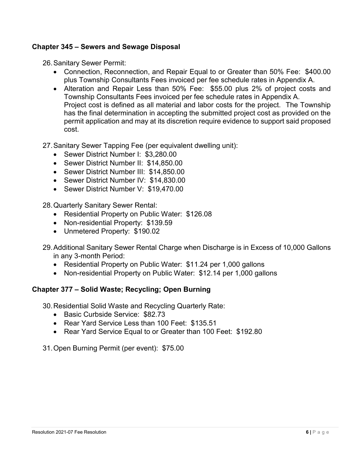## **Chapter 345 – Sewers and Sewage Disposal**

26.Sanitary Sewer Permit:

- Connection, Reconnection, and Repair Equal to or Greater than 50% Fee: \$400.00 plus Township Consultants Fees invoiced per fee schedule rates in Appendix A.
- Alteration and Repair Less than 50% Fee: \$55.00 plus 2% of project costs and Township Consultants Fees invoiced per fee schedule rates in Appendix A. Project cost is defined as all material and labor costs for the project. The Township has the final determination in accepting the submitted project cost as provided on the permit application and may at its discretion require evidence to support said proposed cost.
- 27.Sanitary Sewer Tapping Fee (per equivalent dwelling unit):
	- Sewer District Number I: \$3,280.00
	- Sewer District Number II: \$14,850.00
	- Sewer District Number III: \$14,850.00
	- Sewer District Number IV: \$14,830.00
	- Sewer District Number V: \$19,470.00
- 28.Quarterly Sanitary Sewer Rental:
	- Residential Property on Public Water: \$126.08
	- Non-residential Property: \$139.59
	- Unmetered Property: \$190.02
- 29.Additional Sanitary Sewer Rental Charge when Discharge is in Excess of 10,000 Gallons in any 3-month Period:
	- Residential Property on Public Water: \$11.24 per 1,000 gallons
	- Non-residential Property on Public Water: \$12.14 per 1,000 gallons

### **Chapter 377 – Solid Waste; Recycling; Open Burning**

30.Residential Solid Waste and Recycling Quarterly Rate:

- Basic Curbside Service: \$82.73
- Rear Yard Service Less than 100 Feet: \$135.51
- Rear Yard Service Equal to or Greater than 100 Feet: \$192.80

31.Open Burning Permit (per event): \$75.00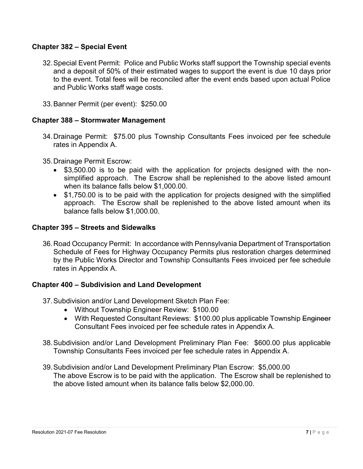### **Chapter 382 – Special Event**

- 32.Special Event Permit: Police and Public Works staff support the Township special events and a deposit of 50% of their estimated wages to support the event is due 10 days prior to the event. Total fees will be reconciled after the event ends based upon actual Police and Public Works staff wage costs.
- 33.Banner Permit (per event): \$250.00

## **Chapter 388 – Stormwater Management**

34.Drainage Permit: \$75.00 plus Township Consultants Fees invoiced per fee schedule rates in Appendix A.

35.Drainage Permit Escrow:

- \$3,500.00 is to be paid with the application for projects designed with the nonsimplified approach. The Escrow shall be replenished to the above listed amount when its balance falls below \$1,000.00.
- \$1,750.00 is to be paid with the application for projects designed with the simplified approach. The Escrow shall be replenished to the above listed amount when its balance falls below \$1,000.00.

### **Chapter 395 – Streets and Sidewalks**

36.Road Occupancy Permit: In accordance with Pennsylvania Department of Transportation Schedule of Fees for Highway Occupancy Permits plus restoration charges determined by the Public Works Director and Township Consultants Fees invoiced per fee schedule rates in Appendix A.

### **Chapter 400 – Subdivision and Land Development**

37.Subdivision and/or Land Development Sketch Plan Fee:

- Without Township Engineer Review: \$100.00
- With Requested Consultant Reviews: \$100.00 plus applicable Township Engineer Consultant Fees invoiced per fee schedule rates in Appendix A.
- 38.Subdivision and/or Land Development Preliminary Plan Fee: \$600.00 plus applicable Township Consultants Fees invoiced per fee schedule rates in Appendix A.
- 39.Subdivision and/or Land Development Preliminary Plan Escrow: \$5,000.00 The above Escrow is to be paid with the application. The Escrow shall be replenished to the above listed amount when its balance falls below \$2,000.00.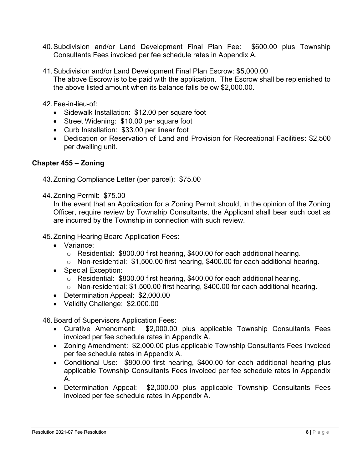- 40.Subdivision and/or Land Development Final Plan Fee: \$600.00 plus Township Consultants Fees invoiced per fee schedule rates in Appendix A.
- 41.Subdivision and/or Land Development Final Plan Escrow: \$5,000.00 The above Escrow is to be paid with the application. The Escrow shall be replenished to the above listed amount when its balance falls below \$2,000.00.

42.Fee-in-lieu-of:

- Sidewalk Installation: \$12.00 per square foot
- Street Widening: \$10.00 per square foot
- Curb Installation: \$33.00 per linear foot
- Dedication or Reservation of Land and Provision for Recreational Facilities: \$2,500 per dwelling unit.

## **Chapter 455 – Zoning**

- 43.Zoning Compliance Letter (per parcel): \$75.00
- 44.Zoning Permit: \$75.00

In the event that an Application for a Zoning Permit should, in the opinion of the Zoning Officer, require review by Township Consultants, the Applicant shall bear such cost as are incurred by the Township in connection with such review.

45.Zoning Hearing Board Application Fees:

- Variance:
	- o Residential: \$800.00 first hearing, \$400.00 for each additional hearing.
	- o Non-residential: \$1,500.00 first hearing, \$400.00 for each additional hearing.
- Special Exception:
	- o Residential: \$800.00 first hearing, \$400.00 for each additional hearing.
	- o Non-residential: \$1,500.00 first hearing, \$400.00 for each additional hearing.
- Determination Appeal: \$2,000.00
- Validity Challenge: \$2,000.00

46.Board of Supervisors Application Fees:

- Curative Amendment: \$2,000.00 plus applicable Township Consultants Fees invoiced per fee schedule rates in Appendix A.
- Zoning Amendment: \$2,000.00 plus applicable Township Consultants Fees invoiced per fee schedule rates in Appendix A.
- Conditional Use: \$800.00 first hearing, \$400.00 for each additional hearing plus applicable Township Consultants Fees invoiced per fee schedule rates in Appendix A.
- Determination Appeal: \$2,000.00 plus applicable Township Consultants Fees invoiced per fee schedule rates in Appendix A.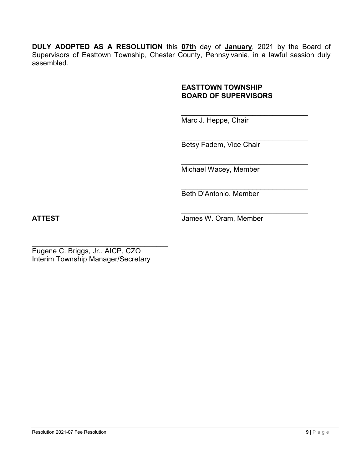**DULY ADOPTED AS A RESOLUTION** this **07th** day of **January**, 2021 by the Board of Supervisors of Easttown Township, Chester County, Pennsylvania, in a lawful session duly assembled.

### **EASTTOWN TOWNSHIP BOARD OF SUPERVISORS**

 $\mathcal{L}_\text{max}$  and  $\mathcal{L}_\text{max}$  and  $\mathcal{L}_\text{max}$  and  $\mathcal{L}_\text{max}$ Marc J. Heppe, Chair

Betsy Fadem, Vice Chair

 $\mathcal{L}_\text{max}$  , where  $\mathcal{L}_\text{max}$  and  $\mathcal{L}_\text{max}$  and  $\mathcal{L}_\text{max}$ 

 $\mathcal{L}_\text{max}$  and  $\mathcal{L}_\text{max}$  and  $\mathcal{L}_\text{max}$  and  $\mathcal{L}_\text{max}$ Michael Wacey, Member

\_\_\_\_\_\_\_\_\_\_\_\_\_\_\_\_\_\_\_\_\_\_\_\_\_\_\_\_\_\_\_\_ Beth D'Antonio, Member

 $\mathcal{L}_\text{max}$  and  $\mathcal{L}_\text{max}$  and  $\mathcal{L}_\text{max}$  and  $\mathcal{L}_\text{max}$ **ATTEST** James W. Oram, Member

 $\mathcal{L}_\text{max}$  , where  $\mathcal{L}_\text{max}$  is the set of  $\mathcal{L}_\text{max}$ Eugene C. Briggs, Jr., AICP, CZO Interim Township Manager/Secretary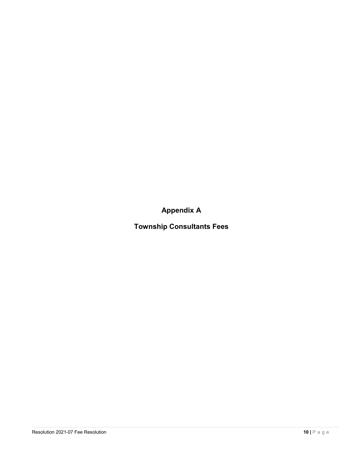**Appendix A**

**Township Consultants Fees**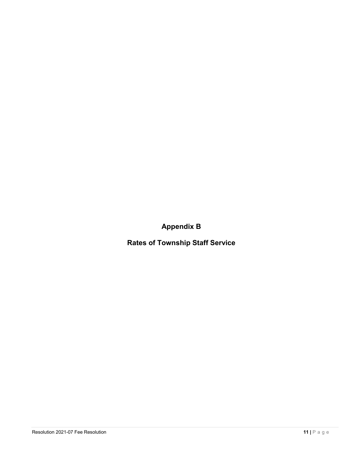**Appendix B**

**Rates of Township Staff Service**